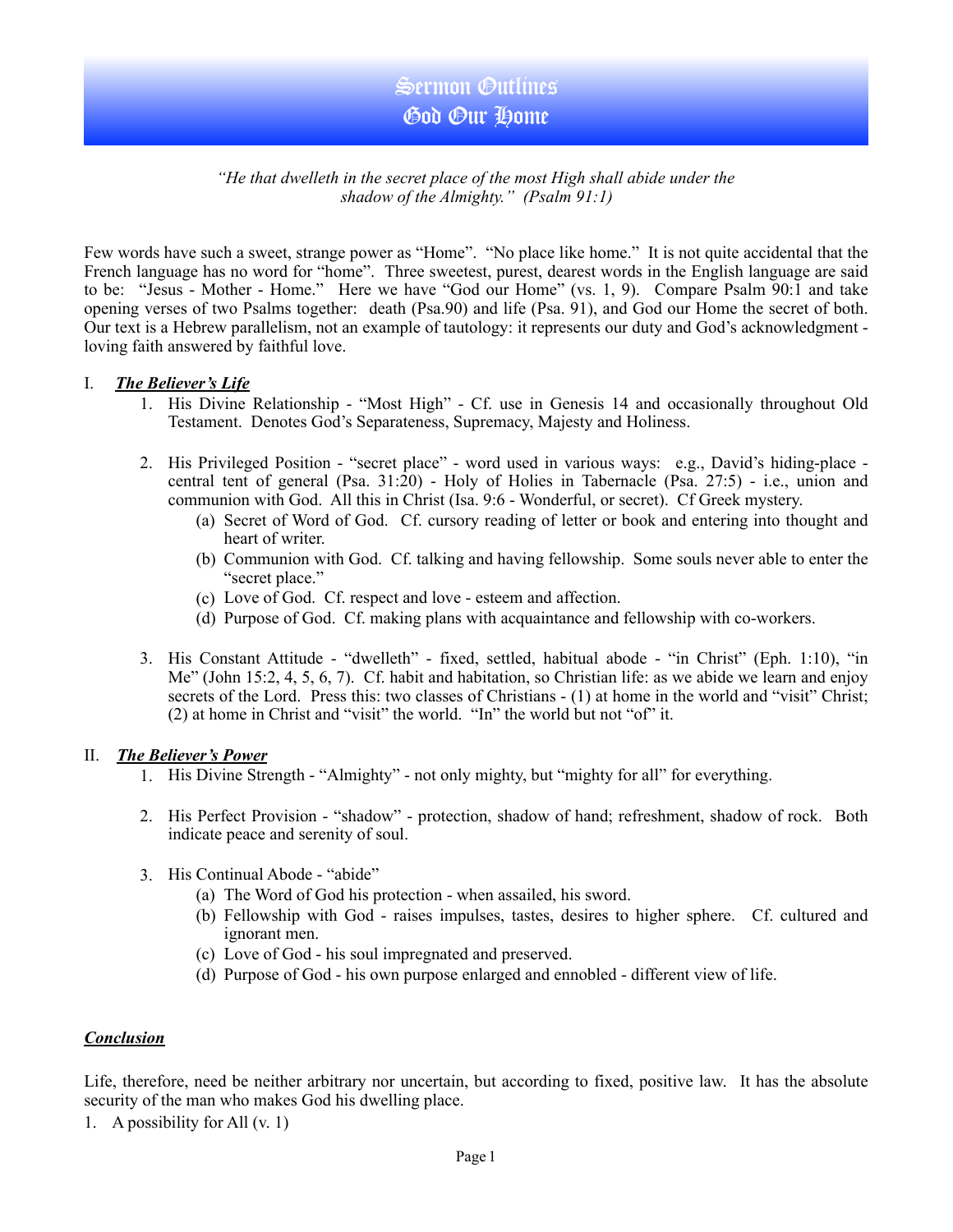## *"He that dwelleth in the secret place of the most High shall abide under the shadow of the Almighty." (Psalm 91:1)*

Few words have such a sweet, strange power as "Home". "No place like home." It is not quite accidental that the French language has no word for "home". Three sweetest, purest, dearest words in the English language are said to be: "Jesus - Mother - Home." Here we have "God our Home" (vs. 1, 9). Compare Psalm 90:1 and take opening verses of two Psalms together: death (Psa.90) and life (Psa. 91), and God our Home the secret of both. Our text is a Hebrew parallelism, not an example of tautology: it represents our duty and God's acknowledgment loving faith answered by faithful love.

## I. *The Believer's Life*

- 1. His Divine Relationship "Most High" Cf. use in Genesis 14 and occasionally throughout Old Testament. Denotes God's Separateness, Supremacy, Majesty and Holiness.
- 2. His Privileged Position "secret place" word used in various ways: e.g., David's hiding-place central tent of general (Psa. 31:20) - Holy of Holies in Tabernacle (Psa. 27:5) - i.e., union and communion with God. All this in Christ (Isa. 9:6 - Wonderful, or secret). Cf Greek mystery.
	- (a) Secret of Word of God. Cf. cursory reading of letter or book and entering into thought and heart of writer.
	- (b) Communion with God. Cf. talking and having fellowship. Some souls never able to enter the "secret place."
	- (c) Love of God. Cf. respect and love esteem and affection.
	- (d) Purpose of God. Cf. making plans with acquaintance and fellowship with co-workers.
- 3. His Constant Attitude "dwelleth" fixed, settled, habitual abode "in Christ" (Eph. 1:10), "in Me" (John 15:2, 4, 5, 6, 7). Cf. habit and habitation, so Christian life: as we abide we learn and enjoy secrets of the Lord. Press this: two classes of Christians - (1) at home in the world and "visit" Christ; (2) at home in Christ and "visit" the world. "In" the world but not "of" it.

#### II. *The Believer's Power*

- 1. His Divine Strength "Almighty" not only mighty, but "mighty for all" for everything.
- 2. His Perfect Provision "shadow" protection, shadow of hand; refreshment, shadow of rock. Both indicate peace and serenity of soul.
- 3. His Continual Abode "abide"
	- (a) The Word of God his protection when assailed, his sword.
	- (b) Fellowship with God raises impulses, tastes, desires to higher sphere. Cf. cultured and ignorant men.
	- (c) Love of God his soul impregnated and preserved.
	- (d) Purpose of God his own purpose enlarged and ennobled different view of life.

## *Conclusion*

Life, therefore, need be neither arbitrary nor uncertain, but according to fixed, positive law. It has the absolute security of the man who makes God his dwelling place.

1. A possibility for All (v. 1)